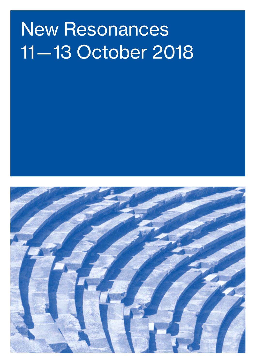# New Resonances 11— 13 October 2018

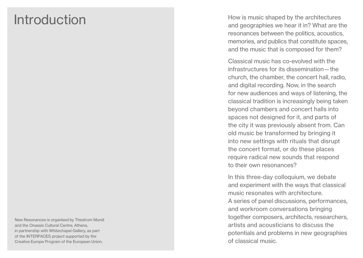### Introduction

How is music shaped by the architectures and geographies we hear it in? What are the resonances between the politics, acoustics, memories, and publics that constitute spaces, and the music that is composed for them?

Classical music has co-evolved with the infrastructures for its dissemination — the church, the chamber, the concert hall, radio, and digital recording. Now, in the search for new audiences and ways of listening, the classical tradition is increasingly being taken beyond chambers and concert halls into spaces not designed for it, and parts of the city it was previously absent from. Can old music be transformed by bringing it into new settings with rituals that disrupt the concert format, or do these places require radical new sounds that respond to their own resonances?

In this three-day colloquium, we debate and experiment with the ways that classical music resonates with architecture. A series of panel discussions, performances, and workroom conversations bringing together composers, architects, researchers, artists and acousticians to discuss the potentials and problems in new geographies of classical music.

New Resonances is organised by Theatrum Mundi and the Onassis Cultural Centre, Athens, in partnership with Whitechapel Gallery, as part of the INTERFACES project supported by the Creative Europe Program of the European Union.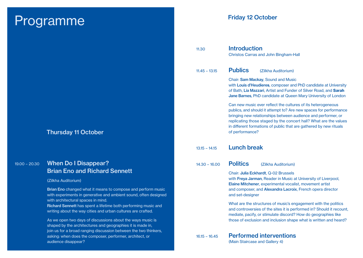### Programme

| <b>Thursday 11 October</b> |  |  |
|----------------------------|--|--|
|                            |  |  |

#### 19.00 – 20.30 When Do I Disappear? Brian Eno and Richard Sennett

#### (Zilkha Auditorium)

Brian Eno changed what it means to compose and perform music with experiments in generative and ambient sound, often designed with architectural spaces in mind.

Richard Sennett has spent a lifetime both performing music and writing about the way cities and urban cultures are crafted.

As we open two days of discussions about the ways music is shaped by the architectures and geographies it is made in, join us for a broad ranging discussion between the two thinkers, asking: when does the composer, performer, architect, or audience disappear?

#### Friday 12 October

| 11.30           | <b>Introduction</b><br><b>Christos Carras and John Bingham-Hall</b>                                                                                                                                                                                                                                                                                              |
|-----------------|------------------------------------------------------------------------------------------------------------------------------------------------------------------------------------------------------------------------------------------------------------------------------------------------------------------------------------------------------------------|
| $11.45 - 13.15$ | <b>Publics</b><br>(Zilkha Auditorium)                                                                                                                                                                                                                                                                                                                            |
|                 | Chair: Sam Mackay, Sound and Music<br>with Louis d'Heudieres, composer and PhD candidate at University<br>of Bath, Lia Mazzari, Artist and Funder of Silver Road, and Sarah<br>Jane Barnes, PhD candidate at Queen Mary University of London                                                                                                                     |
|                 | Can new music ever reflect the cultures of its heterogeneous<br>publics, and should it attempt to? Are new spaces for performance<br>bringing new relationships between audience and performer, or<br>replicating those staged by the concert hall? What are the values<br>in different formations of public that are gathered by new rituals<br>of performance? |
| $13.15 - 14.15$ | <b>Lunch break</b>                                                                                                                                                                                                                                                                                                                                               |
| $14.30 - 16.00$ | <b>Politics</b><br>(Zilkha Auditorium)                                                                                                                                                                                                                                                                                                                           |
|                 | Chair: Julia Eckhardt, Q-02 Brussels<br>with Freya Jarman, Reader in Music at University of Liverpool,<br>Elaine Mitchener, experimental vocalist, movement artist<br>and composer, and Alexandra Lacroix, French opera director<br>and set-designer                                                                                                             |
|                 | What are the structures of music's engagement with the politics<br>and controversies of the sites it is performed in? Should it recount,<br>mediate, pacify, or stimulate discord? How do geographies like<br>those of exclusion and inclusion shape what is written and heard?                                                                                  |
| $16.15 - 16.45$ | <b>Performed interventions</b><br>(Main Staircase and Gallery 4)                                                                                                                                                                                                                                                                                                 |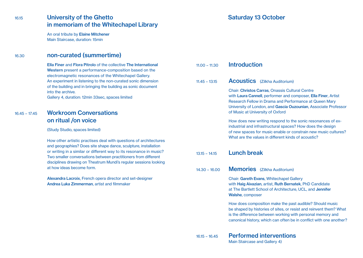#### 16.15 University of the Ghetto in memoriam of the Whitechapel Library

An oral tribute by Elaine Mitchener Main Staircase, duration: 15min

#### 16.30 non-curated (summertime)

Ella Finer and Flora Pitrolo of the collective The International Western present a performance-composition based on the electromagnetic resonances of the Whitechapel Gallery. An experiment in listening to the non-curated sonic dimension of the building and in bringing the building as sonic document into the archive.

Gallery 4, duration: 12min 33sec, spaces limited

#### 16.45 – 17.45 Workroom Conversations on ritual /on voice

(Study Studio, spaces limited)

How other artistic practises deal with questions of architectures and geographies? Does site shape dance, sculpture, installation or writing in a similar or different way to its resonance in music? Two smaller conversations between practitioners from different disciplines drawing on Theatrum Mundi's regular sessions looking at how ideas become form.

Alexandra Lacroix, French opera director and set-designer Andrea Luka Zimmerman, artist and filmmaker

#### Saturday 13 October

| $11.00 - 11.30$ | <b>Introduction</b>                                                                                                                                                                                                                                                                |
|-----------------|------------------------------------------------------------------------------------------------------------------------------------------------------------------------------------------------------------------------------------------------------------------------------------|
| $11.45 - 13.15$ | <b>Acoustics</b> (Zilkha Auditorium)                                                                                                                                                                                                                                               |
|                 | Chair: Christos Carras, Onassis Cultural Centre<br>with Laura Cannell, performer and composer, Ella Finer, Artist<br>Research Fellow in Drama and Performance at Queen Mary<br>University of London, and Gascia Ouzounian, Associate Professor<br>of Music at University of Oxford |
|                 | How does new writing respond to the sonic resonances of ex-<br>industrial and infrastructural spaces? How does the design<br>of new spaces for music enable or constrain new music cultures?<br>What are the values in different kinds of acoustic?                                |
| $13.15 - 14.15$ | <b>Lunch break</b>                                                                                                                                                                                                                                                                 |
|                 |                                                                                                                                                                                                                                                                                    |
| $14.30 - 16.00$ | <b>Memories</b> (Zilkha Auditorium)                                                                                                                                                                                                                                                |
|                 | Chair: Gareth Evans, Whitechapel Gallery<br>with Haig Aivazian, artist, Ruth Bernatek, PhD Candidate<br>at The Bartlett School of Architecture, UCL, and Jennifer<br>Walshe, composer                                                                                              |
|                 | How does composition make the past audible? Should music<br>be shaped by histories of sites, or resist and reinvent them? What<br>is the difference between working with personal memory and<br>canonical history, which can often be in conflict with one another?                |

Main Staircase and Gallery 4)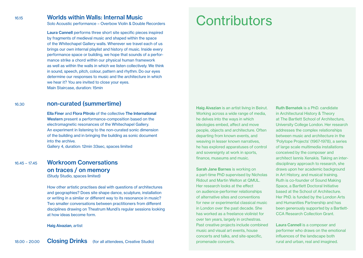#### 16.15 Worlds within Walls: Internal Music

Solo Acoustic performance – Overbow Violin & Double Recorders

Laura Cannell performs three short site specific pieces inspired by fragments of medieval music and shaped within the space of the Whitechapel Gallery walls. Wherever we travel each of us brings our own internal playlist and history of music. Inside every performance space or building, we hope that sounds of a performance strike a chord within our physical human framework as well as within the walls in which we listen collectively. We think in sound, speech, pitch, colour, pattern and rhythm. Do our eyes determine our responses to music and the architecture in which we hear it? You are invited to close your eyes. Main Staircase, duration: 15min

#### 16.30 non-curated (summertime)

Ella Finer and Flora Pitrolo of the collective The International Western present a performance-composition based on the electromagnetic resonances of the Whitechapel Gallery. An experiment in listening to the non-curated sonic dimension of the building and in bringing the building as sonic document into the archive. Gallery 4, duration: 12min 33sec, spaces limited

16.45 – 17.45 Workroom Conversations on traces / on memory (Study Studio, spaces limited)

> How other artistic practises deal with questions of architectures and geographies? Does site shape dance, sculpture, installation or writing in a similar or different way to its resonance in music? Two smaller conversations between practitioners from different disciplines drawing on Theatrum Mundi's regular sessions looking at how ideas become form.

Haig Aivazian, artist

# **Contributors**

Haig Aivazian is an artist living in Beirut. Working across a wide range of media, he delves into the ways in which ideologies embed, affect and move people, objects and architecture. Often departing from known events, and weaving in lesser known narratives, he has explored apparatuses of control and sovereignty at work in sports, finance, museums and music.

Sarah Jane Barnes is working on a part-time PhD supervised by Nicholas Ridout and Martin Welton at QMUL. Her research looks at the effect on audience-performer relationships of alternative sites and conventions for new or experimental classical music in London over the past decade. She has worked as a freelance violinist for over ten years, largely in orchestras. Past creative projects include combined music and visual art events, house concerts and talks, and site-specific, promenade concerts.

Ruth Bernatek is a PhD. candidate in Architectural History & Theory at The Bartlett School of Architecture, University College London. Her research addresses the complex relationships between music and architecture in the 'Polytope Projects' (1967-1978), a series of large scale multimedia installations conceived by the composer and architect Iannis Xenakis. Taking an interdisciplinary approach to research, she draws upon her academic background in Art History, and musical training. Ruth is co-founder of Sound Making Space, a Bartlett Doctoral Initiative based at the School of Architecture. Her PhD. is funded by the London Arts and Humanities Partnership and has been generously supported by a Bartlett-CCA Research Collection Grant.

Laura Cannell is a composer and performer who draws on the emotional influences of the landscape both rural and urban, real and imagined.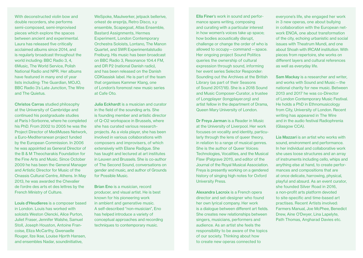With deconstructed violin how and double recorders, she performs semi-composed, semi-improvised pieces which explore the spaces between ancient and experimental. Laura has released five critically acclaimed albums since 2014, and is regularly broadcast throughout the world including: BBC Radio 3, 4, 6Music, The World Service, Polish National Radio and NPR. Her albums have featured in many end of year lists including: The Guardian, MOJO, BBC Radio 3's Late Junction, The Wire and The Quietus.

Christos Carras studied philosophy at the University of Cambridge and continued his postgraduate studies at Paris I-Sorbonne, where he completed his PhD. From 2002 to 2005 he was the Project Director of MediMuses Network, a Euro-Mediterranean project funded by the European Commission. In 2006 he was appointed as General Director of the B & M Theocharakis Foundation for the Fine Arts and Music. Since October 2009 he has been the General Manager and Artistic Director for Music of the Onassis Cultural Centre, Athens. In May 2013, he was awarded the Chevalier de l'ordre des arts et des lettres by the French Ministry of Culture.

Louis d'Heudieres is a composer based in London. Louis has worked with soloists Weston Olencki, Alice Purton, Juliet Fraser, Jennifer Walshe, Samuel Stoll, Joseph Houston, Antoine Francoise, Eliza McCarthy, Gwenaelle Rouger, Ilze Ikse, Louise Hjorth Hansen, and ensembles Nadar, soundinitiative,

WeSpoke, Maulwerker, jetpack bellerive, orkest de ereprijs, Retro Disco, x.y ensemble, Scapegoat, Atlas Ensemble, Bastard Assignments, Hermes Experiment, London Contemporary Orchestra Soloists, Lontano, The Manon Quartet, and SWR Experimentalstudio Freiburg. His music has been broadcast on BBC Radio 3, Resonance 104.4 FM, and DR P2 (national Danish radio), and has been released on the Danish CDKlassisk label. He is part of the team that organises Kammer Klang, one of London's foremost new music series at Cafe Oto.

Julia Eckhardt is a musician and curator in the field of the sounding arts. She is founding member and artistic director of Q-O2 workspace in Brussels, where she has curated various researchprojects. As a viola player, she has been involved in various collaborations with composers and improvisers, of which extensively with Eliane Radigue. She has taught and lectured at art institutes in Leuven and Brussels. She is co-author of The Second Sound, conversations on gender and music, and author of Grounds for Possible Music.

Brian Eno is a musician, record producer, and visual artist. He is best known for his pioneering work in ambient and generative music. A self-described "non-musician", Eno has helped introduce a variety of conceptual approaches and recording techniques to contemporary music.

Ella Finer's work in sound and performance spans writing, composing and curating with a particular interest in how women's voices take up space; how bodies acoustically disrupt, challenge or change the order of who is allowed to occupy — command  — space. Her ongoing project Sound Politics queries the ownership of cultural expression through sound, informing her event series Selector Responder: Sounding out the Archives at the British Library (as part of their Seasons of Sound 2017/18). She is a 2018 Sound and Music Composer-Curator, a trustee of Longplayer (longplayer.org) and artist fellow in the department of Drama, Queen Mary University of London.

Dr Freya Jarman is a Reader in Music at the University of Liverpool. Her work focuses on vocality and identity, particularly through the lens of queer theory, in relation to a range of musical genres. She is the author of Queer Voices: Technologies, Vocalities, and the Musical Flaw (Palgrave 2011), and editor of the Journal of the Royal Musical Association. Freya is presently working on a gendered history of singing high notes for Oxford University Press.

Alexandra Lacroix is a French opera director and set-designer who found her own lyrical company. Her work is a dialogue between different art fields. She creates new relationships between singers, musicians, performers and audience. As an artist she feels the responsibility to be aware of the topics of our society. Thinking about how to create new operas connected to

everyone's life, she engaged her work in 3 new operas, one about bullying in collaboration with the European network ENOA, one about transformation of the city, echoing urbanistic and social issues with Theatrum Mundi, and one about Shoah with IRCAM institution. With pieces from repertoire, she works on different layers and cultural references as well as everyday life.

Sam Mackay is a researcher and writer, and works with Sound and Music — the national charity for new music. Between 2013 and 2017 he was co-Director of London Contemporary Music Festival. He holds a PhD in Ethnomusicology from City, University of London. Recent writing has appeared in The Wire and in the audio festival Radiophrenia (Glasgow CCA).

Lia Mazzari is an artist who works with sound, environment and performance. In her individual and collaborative work she uses loose structures and an array of instruments including cello, whips and anything else at hand, to create performances and compositions that are at once delicate, harrowing, physical, playful and absurd. As an event curator, she founded Silver Road in 2016, a non-profit arts platform devoted to site-specific and time-based art practises. Recent Artists involved: Farmers Manual, Joe McPhee, Benedict Drew, Aine O'Dwyer, Lina Lapelyte, Path Thomas, Angharad Davies etc.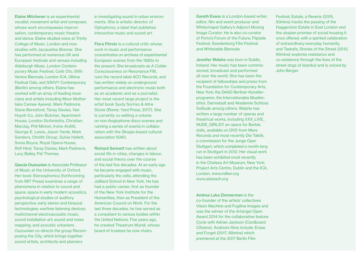Elaine Mitchener is an experimental vocalist, movement artist and composer, whose work encompasses improvisation, contemporary music theatre and dance. Elaine studied voice at Trinity College of Music, London and now studies with Jacqueline Bremar. She has performed at numerous UK and European festivals and venues including Aldeburgh Music, London Contemporary Music Festival, Café Oto, 56th Venice Biennale, London ICA, Ultima Festival Oslo, and SAVVY Contemporary (Berlin) among others. Elaine has worked with an array of leading musicians and artists including Moor Mother (aka Camae Ayewa), Mark Padmore, Steve Beresford, Tansy Davies, Van Huynh Co, John Butcher, Apartment House, London Sinfonietta, Christian Marclay, Phil Minton, Irvine Arditti, George E. Lewis, Jason Yarde, Mark Sanders, Otolith Group, Sylvia Hallett, Sonia Boyce, Royal Opera House, Rolf Hind, Tansy Davies, Mark Padmore, Lucy Bailey, Pat Thomas.

Gascia Ouzounian is Associate Professor of Music at the University of Oxford. Her book Stereophonica (forthcoming from MIT Press) examines a range of phenomena in relation to sound and space: space in early modern acoustics; psychological studies of auditory perspective; early stereo and binaural technologies; wartime listening devices; multichannel electroacoustic music; sound installation art; sound and noise mapping; and acoustic urbanism. Ouzounian co-directs the group Recomposing the City, which brings together sound artists, architects and planners

in investigating sound in urban environments. She is artistic director of Optophono, a label that publishes interactive music and sound art.

Flora Pitrolo is a cultural critic whose work in music and performance concentrates on archives of experimental European scenes from the 1980s to the present. She broadcasts as *A Colder Consciousness* on Resonance FM, runs the record label ACC Records, and has written widely on underground performance and electronic music both as an academic and as a journalist. Her most recent large project is the artist book Syxty Sorriso & Altre Storie (Rome: Yard Press, 2017). She is currently co-editing a volume on non-Anglophone disco scenes and running a series of events in collaboration with the Skopje-based cultural association 5060.

Richard Sennett has written about social life in cities, changes in labour, and social theory over the course of the last five decades. At an early age he became engaged with music, particularly the cello, attending the Juilliard School in New York. He has had a public career, first as founder of the New York Institute for the Humanities, then as President of the American Council on Work. For the last three decades, he has served as a consultant to various bodies within the United Nations. Five years ago, he created Theatrum Mundi, whose board of trustees he now chairs.

Gareth Evans is a London-based writer, editor, film and event producer and Whitechapel Gallery's Adjunct Moving Image Curator. He is also co-curator of Porto's Forum of the Future, Flipside Festival, Swedenborg Film Festival and Whitstable Biennale.

Jennifer Walshe was born in Dublin, Ireland. Her music has been commissioned, broadcast and performed all over the world. She has been the recipient of fellowships and prizes from the Foundation for Contemporary Arts, New York; the DAAD Berliner Künstlerprogramm, the Internationales Musikinstitut, Darmstadt and Akademie Schloss Solitude among others. Walshe has written a large number of operas and theatrical works, including XXX\_LIVE\_ NUDE\_GIRLS!!! an opera for Barbie dolls, available on DVD from Mere Records and most recently Die Taktik, a commission for the Junge Oper Stuttgart, which completed a month-long run in Stuttgart in 2012. Her visual work has been exhibited most recently in the Chelsea Art Museum, New York; Project Arts Centre, Dublin and the ICA, London. www.milker.org www.aisteach.org

Andrea Luka Zimmerman is the co-founder of the artists' collectives Vision Machine and Fugitive Images and was the winner of the Artangel Open Award 2014 for the collaborative feature Cycle with Adrian Jackson (Cardboard Citizens). Andrea's films include: Erase and Forget (2017, 88mins) which premiered at the 2017 Berlin Film

Festival, Estate, a Reverie (2015, 83mins) tracks the passing of the Haggerston Estate in East London and the utopian promise of social housing it once offered, with a spirited celebration of extraordinary everyday humanity, and Taskafa, Stories of the Street (2013, 66mins) explores resistance and co-existence through the lives of the street dogs of Istanbul and is voiced by John Berger.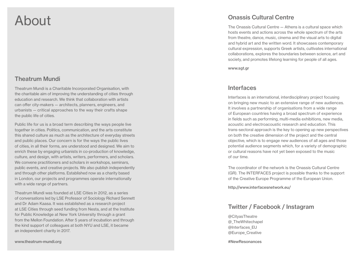# About

#### Theatrum Mundi

Theatrum Mundi is a Charitable Incorporated Organisation, with the charitable aim of improving the understanding of cities through education and research. We think that collaboration with artists can offer city-makers — architects, planners, engineers, and urbanists — critical approaches to the way their crafts shape the public life of cities.

Public life for us is a broad term describing the ways people live together in cities. Politics, communication, and the arts constitute this shared culture as much as the architecture of everyday streets and public places. Our concern is for the ways the public lives of cities, in all their forms, are understood and designed. We aim to enrich these by engaging urbanists in co-production of knowledge, culture, and design, with artists, writers, performers, and scholars. We convene practitioners and scholars in workshops, seminars, public events, and creative projects. We also publish independently and through other platforms. Established now as a charity based in London, our projects and programmes operate internationally with a wide range of partners.

Theatrum Mundi was founded at LSE Cities in 2012, as a series of conversations led by LSE Professor of Sociology Richard Sennett and Dr Adam Kaasa. It was established as a research project at LSE Cities through seed funding from Nesta, and at the Institute for Public Knowledge at New York University through a grant from the Mellon Foundation. After 5 years of incubation and through the kind support of colleagues at both NYU and LSE, it became an independent charity in 2017.

#### Onassis Cultural Centre

The Onassis Cultural Centre — Athens is a cultural space which hosts events and actions across the whole spectrum of the arts from theatre, dance, music, cinema and the visual arts to digital and hybrid art and the written word. It showcases contemporary cultural expression, supports Greek artists, cultivates international collaborations, explores the boundaries between science, art and society, and promotes lifelong learning for people of all ages.

www.sgt.gr

#### Interfaces

Interfaces is an international, interdisciplinary project focusing on bringing new music to an extensive range of new audiences. It involves a partnership of organisations from a wide range of European countries having a broad spectrum of experience in fields such as performing, multi-media exhibitions, new media, acoustic and electroacoustic research and education. This trans-sectoral approach is the key to opening up new perspectives on both the creative dimension of the project and the central objective, which is to engage new audiences of all ages and those potential audience segments which, for a variety of demographic or cultural reasons have not yet been exposed to the music of our time.

The coordinator of the network is the Onassis Cultural Centre (GR). The INTERFACES project is possible thanks to the support of the Creative Europe Programme of the European Union.

http://www.interfacesnetwork.eu/

#### Twitter / Facebook / Instagram

@CityasTheatre @\_TheWhitechapel @Interfaces\_EU @Europe\_Creative

#NewResonances

www.theatrum-mundi.org